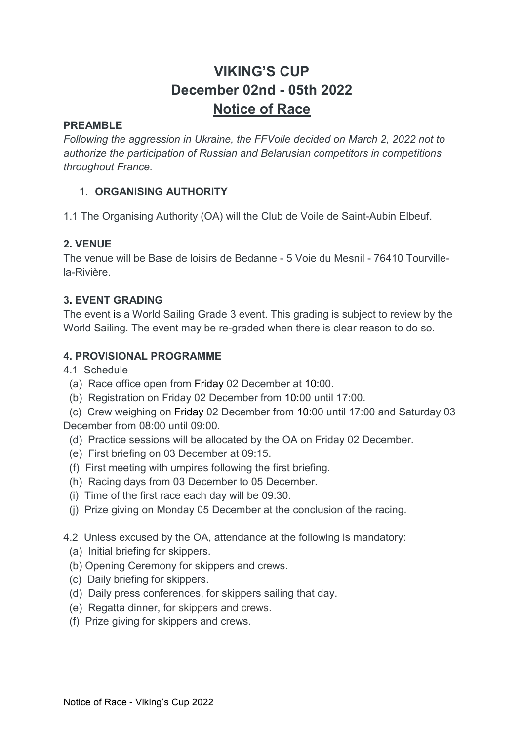# VIKING'S CUP December 02nd - 05th 2022 Notice of Race

# PREAMBLE

Following the aggression in Ukraine, the FFVoile decided on March 2, 2022 not to authorize the participation of Russian and Belarusian competitors in competitions throughout France.

# 1. ORGANISING AUTHORITY

1.1 The Organising Authority (OA) will the Club de Voile de Saint-Aubin Elbeuf.

# 2. VENUE

The venue will be Base de loisirs de Bedanne - 5 Voie du Mesnil - 76410 Tourvillela-Rivière.

# 3. EVENT GRADING

The event is a World Sailing Grade 3 event. This grading is subject to review by the World Sailing. The event may be re-graded when there is clear reason to do so.

# 4. PROVISIONAL PROGRAMME

4.1 Schedule

- (a) Race office open from Friday 02 December at 10:00.
- (b) Registration on Friday 02 December from 10:00 until 17:00.

 (c) Crew weighing on Friday 02 December from 10:00 until 17:00 and Saturday 03 December from 08:00 until 09:00.

- (d) Practice sessions will be allocated by the OA on Friday 02 December.
- (e) First briefing on 03 December at 09:15.
- (f) First meeting with umpires following the first briefing.
- (h) Racing days from 03 December to 05 December.
- (i) Time of the first race each day will be 09:30.
- (j) Prize giving on Monday 05 December at the conclusion of the racing.
- 4.2 Unless excused by the OA, attendance at the following is mandatory:
	- (a) Initial briefing for skippers.
	- (b) Opening Ceremony for skippers and crews.
	- (c) Daily briefing for skippers.
	- (d) Daily press conferences, for skippers sailing that day.
	- (e) Regatta dinner, for skippers and crews.
	- (f) Prize giving for skippers and crews.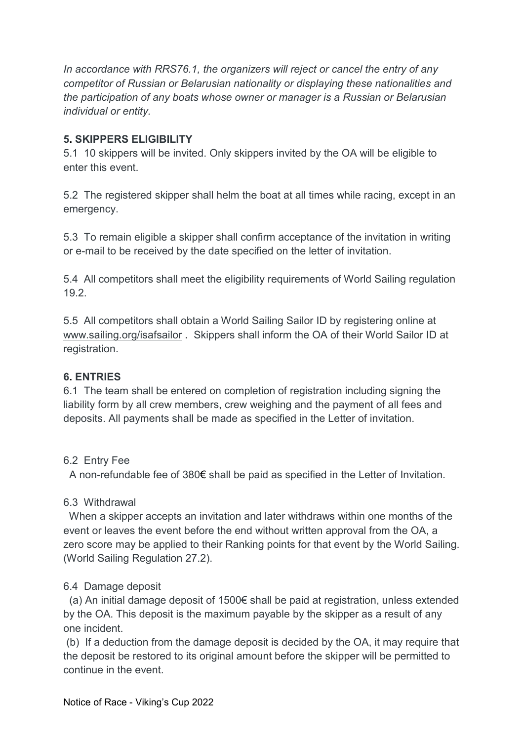In accordance with RRS76.1, the organizers will reject or cancel the entry of any competitor of Russian or Belarusian nationality or displaying these nationalities and the participation of any boats whose owner or manager is a Russian or Belarusian individual or entity.

# 5. SKIPPERS ELIGIBILITY

5.1 10 skippers will be invited. Only skippers invited by the OA will be eligible to enter this event.

5.2 The registered skipper shall helm the boat at all times while racing, except in an emergency.

5.3 To remain eligible a skipper shall confirm acceptance of the invitation in writing or e-mail to be received by the date specified on the letter of invitation.

5.4 All competitors shall meet the eligibility requirements of World Sailing regulation 19.2.

5.5 All competitors shall obtain a World Sailing Sailor ID by registering online at www.sailing.org/isafsailor . Skippers shall inform the OA of their World Sailor ID at registration.

# 6. ENTRIES

6.1 The team shall be entered on completion of registration including signing the liability form by all crew members, crew weighing and the payment of all fees and deposits. All payments shall be made as specified in the Letter of invitation.

# 6.2 Entry Fee

A non-refundable fee of 380€ shall be paid as specified in the Letter of Invitation.

# 6.3 Withdrawal

 When a skipper accepts an invitation and later withdraws within one months of the event or leaves the event before the end without written approval from the OA, a zero score may be applied to their Ranking points for that event by the World Sailing. (World Sailing Regulation 27.2).

# 6.4 Damage deposit

 (a) An initial damage deposit of 1500€ shall be paid at registration, unless extended by the OA. This deposit is the maximum payable by the skipper as a result of any one incident.

 (b) If a deduction from the damage deposit is decided by the OA, it may require that the deposit be restored to its original amount before the skipper will be permitted to continue in the event.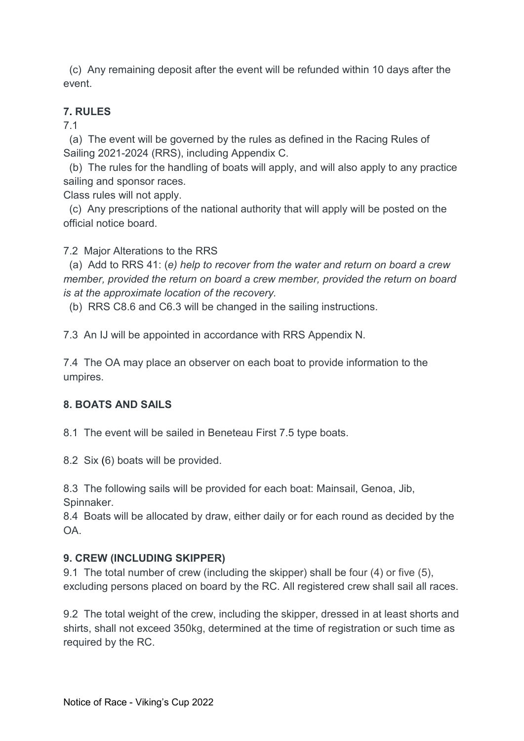(c) Any remaining deposit after the event will be refunded within 10 days after the event.

# 7. RULES

7.1

 (a) The event will be governed by the rules as defined in the Racing Rules of Sailing 2021-2024 (RRS), including Appendix C.

 (b) The rules for the handling of boats will apply, and will also apply to any practice sailing and sponsor races.

Class rules will not apply.

 (c) Any prescriptions of the national authority that will apply will be posted on the official notice board.

7.2 Major Alterations to the RRS

 (a) Add to RRS 41: (e) help to recover from the water and return on board a crew member, provided the return on board a crew member, provided the return on board is at the approximate location of the recovery.

(b) RRS C8.6 and C6.3 will be changed in the sailing instructions.

7.3 An IJ will be appointed in accordance with RRS Appendix N.

7.4 The OA may place an observer on each boat to provide information to the umpires.

# 8. BOATS AND SAILS

8.1 The event will be sailed in Beneteau First 7.5 type boats.

8.2 Six (6) boats will be provided.

8.3 The following sails will be provided for each boat: Mainsail, Genoa, Jib, Spinnaker.

8.4 Boats will be allocated by draw, either daily or for each round as decided by the OA.

# 9. CREW (INCLUDING SKIPPER)

9.1 The total number of crew (including the skipper) shall be four (4) or five (5), excluding persons placed on board by the RC. All registered crew shall sail all races.

9.2 The total weight of the crew, including the skipper, dressed in at least shorts and shirts, shall not exceed 350kg, determined at the time of registration or such time as required by the RC.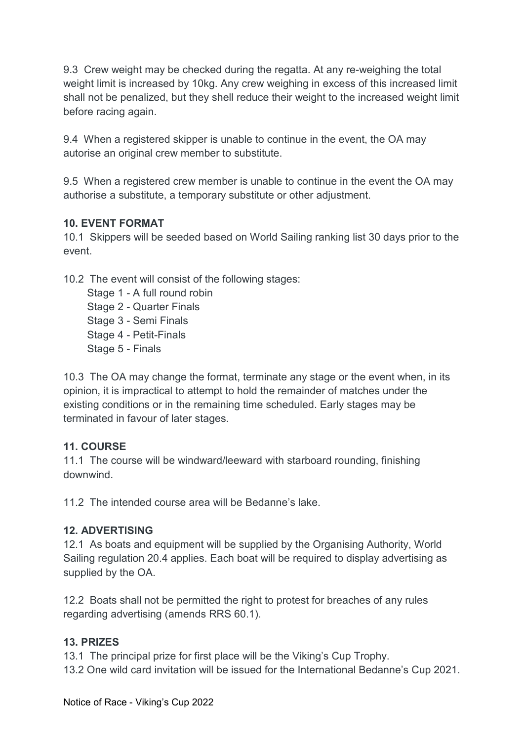9.3 Crew weight may be checked during the regatta. At any re-weighing the total weight limit is increased by 10kg. Any crew weighing in excess of this increased limit shall not be penalized, but they shell reduce their weight to the increased weight limit before racing again.

9.4 When a registered skipper is unable to continue in the event, the OA may autorise an original crew member to substitute.

9.5 When a registered crew member is unable to continue in the event the OA may authorise a substitute, a temporary substitute or other adjustment.

### 10. EVENT FORMAT

10.1 Skippers will be seeded based on World Sailing ranking list 30 days prior to the event.

10.2 The event will consist of the following stages:

Stage 1 - A full round robin Stage 2 - Quarter Finals Stage 3 - Semi Finals Stage 4 - Petit-Finals Stage 5 - Finals

10.3 The OA may change the format, terminate any stage or the event when, in its opinion, it is impractical to attempt to hold the remainder of matches under the existing conditions or in the remaining time scheduled. Early stages may be terminated in favour of later stages.

# 11. COURSE

11.1 The course will be windward/leeward with starboard rounding, finishing downwind.

11.2 The intended course area will be Bedanne's lake.

# 12. ADVERTISING

12.1 As boats and equipment will be supplied by the Organising Authority, World Sailing regulation 20.4 applies. Each boat will be required to display advertising as supplied by the OA.

12.2 Boats shall not be permitted the right to protest for breaches of any rules regarding advertising (amends RRS 60.1).

# 13. PRIZES

13.1 The principal prize for first place will be the Viking's Cup Trophy. 13.2 One wild card invitation will be issued for the International Bedanne's Cup 2021.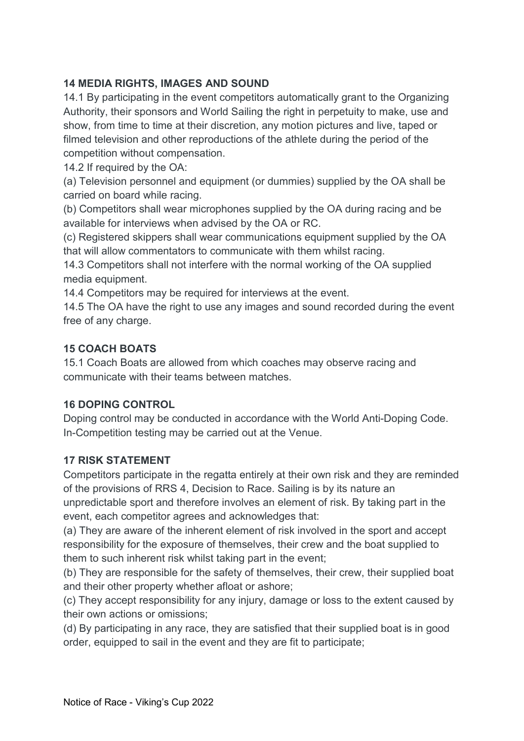# 14 MEDIA RIGHTS, IMAGES AND SOUND

14.1 By participating in the event competitors automatically grant to the Organizing Authority, their sponsors and World Sailing the right in perpetuity to make, use and show, from time to time at their discretion, any motion pictures and live, taped or filmed television and other reproductions of the athlete during the period of the competition without compensation.

14.2 If required by the OA:

(a) Television personnel and equipment (or dummies) supplied by the OA shall be carried on board while racing.

(b) Competitors shall wear microphones supplied by the OA during racing and be available for interviews when advised by the OA or RC.

(c) Registered skippers shall wear communications equipment supplied by the OA that will allow commentators to communicate with them whilst racing.

14.3 Competitors shall not interfere with the normal working of the OA supplied media equipment.

14.4 Competitors may be required for interviews at the event.

14.5 The OA have the right to use any images and sound recorded during the event free of any charge.

### 15 COACH BOATS

15.1 Coach Boats are allowed from which coaches may observe racing and communicate with their teams between matches.

### 16 DOPING CONTROL

Doping control may be conducted in accordance with the World Anti-Doping Code. In-Competition testing may be carried out at the Venue.

### 17 RISK STATEMENT

Competitors participate in the regatta entirely at their own risk and they are reminded of the provisions of RRS 4, Decision to Race. Sailing is by its nature an unpredictable sport and therefore involves an element of risk. By taking part in the event, each competitor agrees and acknowledges that:

(a) They are aware of the inherent element of risk involved in the sport and accept responsibility for the exposure of themselves, their crew and the boat supplied to them to such inherent risk whilst taking part in the event;

(b) They are responsible for the safety of themselves, their crew, their supplied boat and their other property whether afloat or ashore;

(c) They accept responsibility for any injury, damage or loss to the extent caused by their own actions or omissions;

(d) By participating in any race, they are satisfied that their supplied boat is in good order, equipped to sail in the event and they are fit to participate;